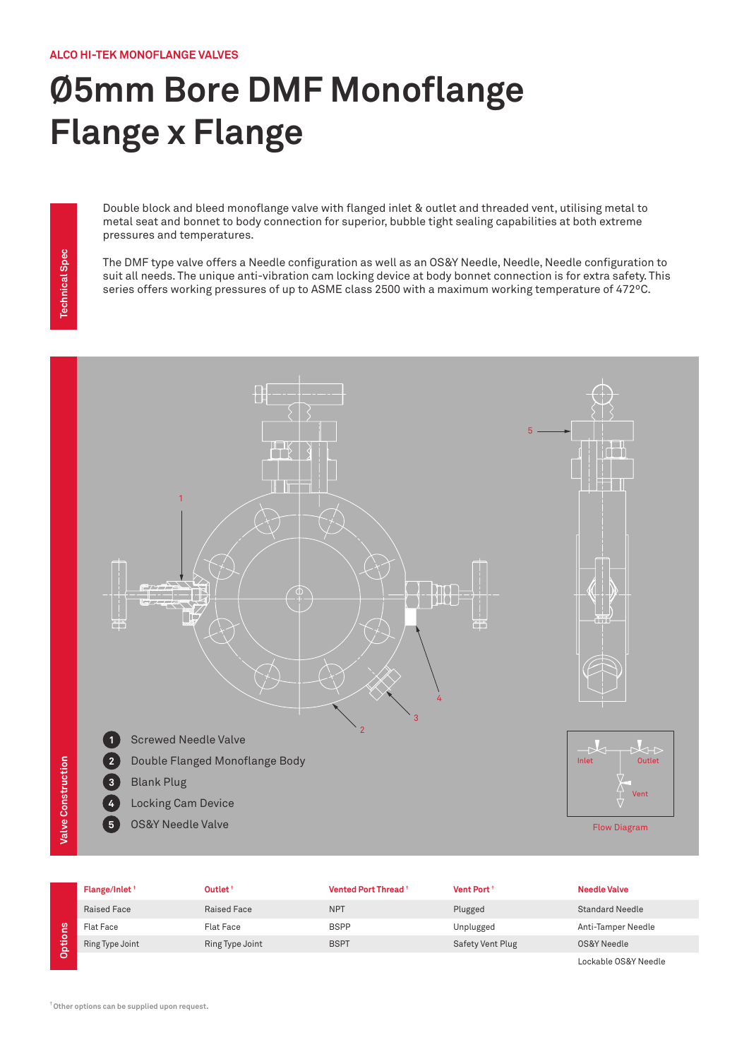## **Ø5mm Bore DMF Monoflange Flange x Flange**

Double block and bleed monoflange valve with flanged inlet & outlet and threaded vent, utilising metal to metal seat and bonnet to body connection for superior, bubble tight sealing capabilities at both extreme pressures and temperatures.

The DMF type valve offers a Needle configuration as well as an OS&Y Needle, Needle, Needle configuration to suit all needs. The unique anti-vibration cam locking device at body bonnet connection is for extra safety. This series offers working pressures of up to ASME class 2500 with a maximum working temperature of 472ºC.



|               | Flange/Inlet <sup>+</sup> | Outlet <sup>+</sup> | Vented Port Thread <sup>+</sup> | Vent Port <sup>+</sup>  | <b>Needle Valve</b>    |
|---------------|---------------------------|---------------------|---------------------------------|-------------------------|------------------------|
|               | <b>Raised Face</b>        | Raised Face         | <b>NPT</b>                      | Plugged                 | <b>Standard Needle</b> |
| ons           | Flat Face                 | Flat Face           | <b>BSPP</b>                     | Unplugged               | Anti-Tamper Needle     |
| -<br>5<br>Dpt | Ring Type Joint           | Ring Type Joint     | <b>BSPT</b>                     | <b>Safety Vent Plug</b> | OS&Y Needle            |
|               |                           |                     |                                 |                         | Lockable OS&Y Needle   |